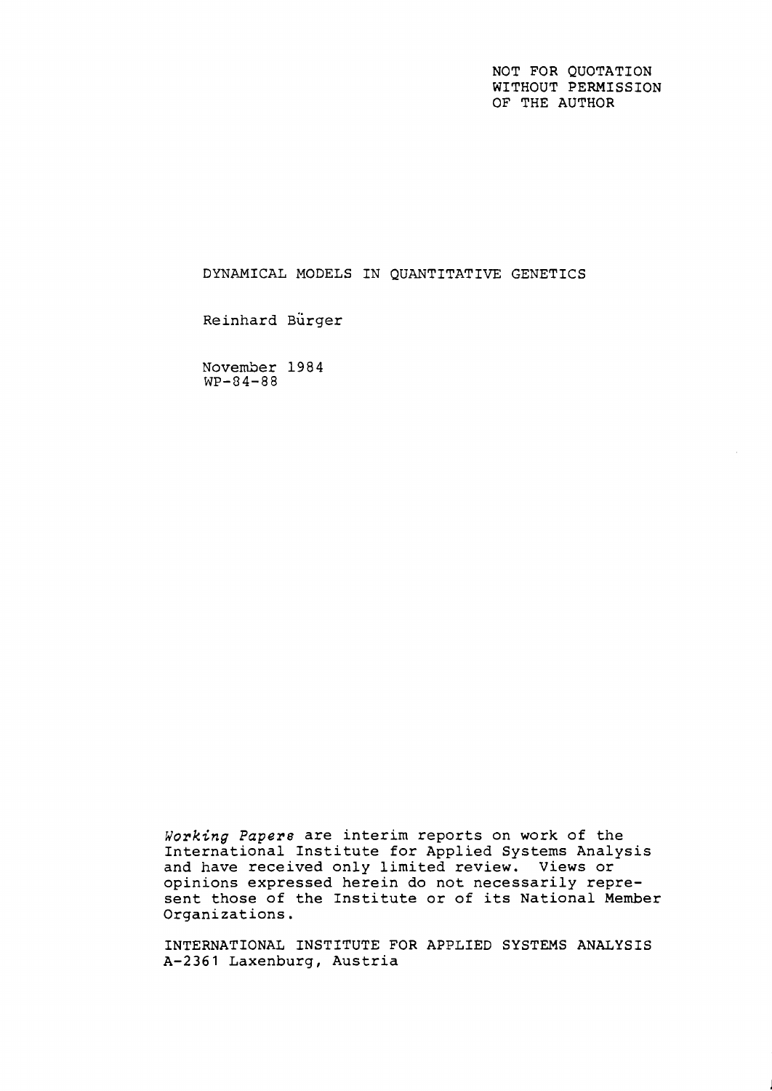NOT FOR QUOTATION WITHOUT PERMISSION OF THE AUTHOR

DYNAMICAL MODELS IN QUANTITATIVE GENETICS

Reinhard Bürger

November 1984 WP-84-88

**Working** *Papers* are interim reports on work of the International Institute for Applied Systems Analysis and have received only limited review. Views or opinions expressed herein do not necessarily represent those of the Institute or of its National Member Organizations.

INTERNATIONAL INSTITUTE FOR APPLIED SYSTEMS ANALYSIS A-2361 Laxenburg, Austria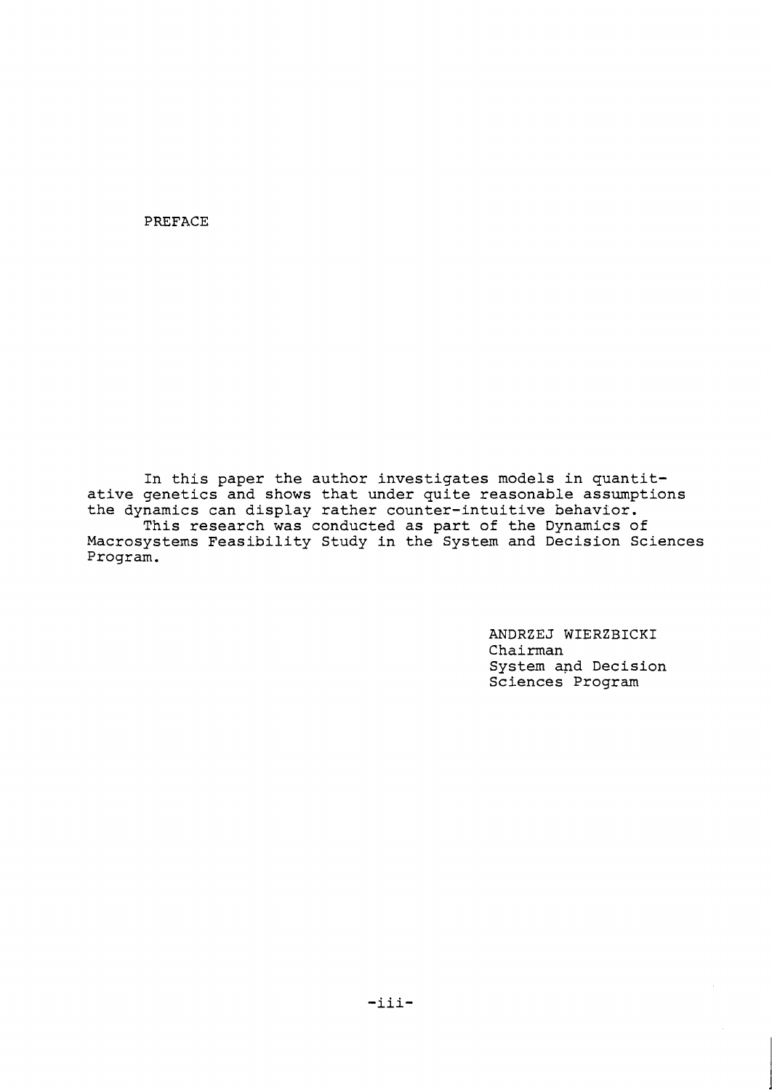PREFACE

In this paper the author investigates models in quantitative genetics and shows that under quite reasonable assumptions the dynamics can display rather counter-intuitive behavior. This research was conducted as part of the Dynamics of Macrosystems Feasibility Study in the System and Decision Sciences Program.

> ANDRZEJ WIERZBICKI Chairman System and Decision Sciences Program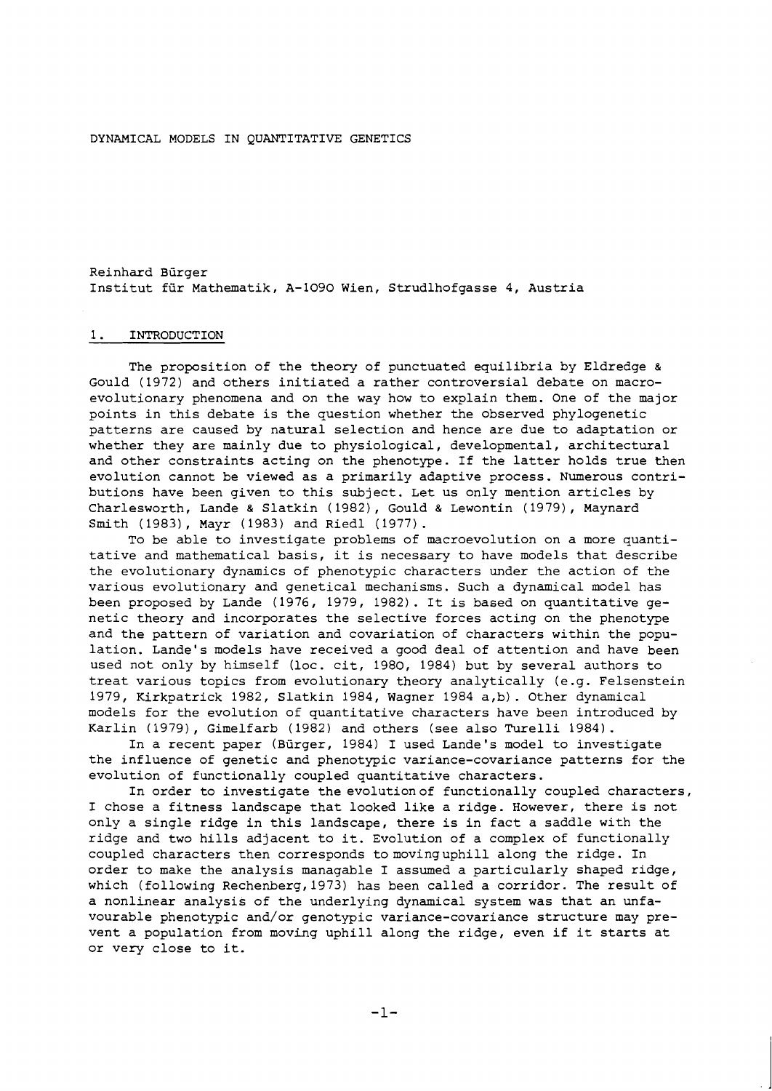#### DYNAMICAL MODELS IN QUANTITATIVE GENETICS

Reinhard Bdrger Institut fdr Mathematik, A-1090 Wien, Strudlhofgasse 4, Austria

# 1. INTRODUCTION

The proposition of the theory of punctuated equilibria by Eldredge & Gould (1972) and others initiated a rather controversial debate on macroevolutionary phenomena and on the way how to explain them. One of the major points in this debate is the question whether the observed phylogenetic patterns are caused by natural selection and hence are due to adaptation or whether they are mainly due to physiological, developmental, architectural and other constraints acting on the phenotype. If the latter holds true then evolution cannot be viewed as a primarily adaptive process. Numerous contributions have been given to this subject. Let us only mention articles by Charlesworth, Lande & Slatkin (1982), Gould & Lewontin (1979), Maynard Smith (1983), Mayr (1983) and Riedl (1977).

To be able to investigate problems of macroevolution on a more quantitative and mathematical basis, it is necessary to have models that describe the evolutionary dynamics of phenotypic characters under the action of the various evolutionary and genetical mechanisms. Such a dynamical model has been proposed by Lande (1976, 1979, 1982). It is based on quantitative genetic theory and incorporates the selective forces acting on the phenotype and the pattern of variation and covariation of characters within the population. Lande's models have received a good deal of attention and have been used not only by himself (loc. cit, 1980, 1984) but by several authors to treat various topics from evolutionary theory analytically (e.9. Felsenstein 1979, Kirkpatrick 1982, Slatkin 1984, Wagner 1984 a,b) . Other dynamical models for the evolution of quantitative characters have been introduced by

Karlin (1979), Gimelfarb (1982) and others (see also Turelli 1984).<br>In a recent paper (Bürger, 1984) I used Lande's model to investigate the influence of genetic and phenotypic variance-covariance patterns for the evolution of functionally coupled quantitative characters.

In order to investigate the evolutionof functionally coupled characters, I chose a fitness landscape that looked like a ridge. However, there is not only a single ridge in this landscape, there is in fact a saddle with the ridge and two hills adjacent to it. Evolution of a complex of functionally coupled characters then corresponds to movinguphill along the ridge. In order to make the analysis managable I assumed a particularly shaped ridge, which (following Rechenberg, 1973) has been called a corridor. The result of a nonlinear analysis of the underlying dynamical system was that an unfavourable phenotypic and/or genotypic variance-covariance structure may prevent a population from moving uphill along the ridge, even if it starts at or very close to it.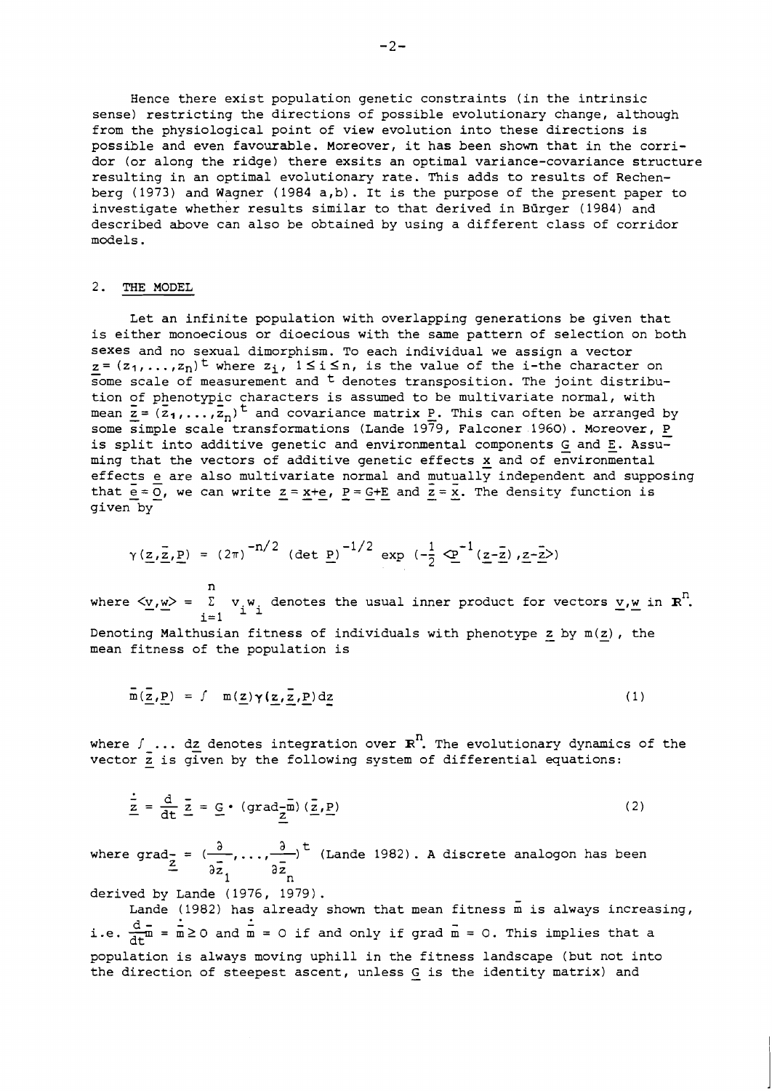Hence there exist population genetic constraints (in the intrinsic sense) restricting the directions of possible evolutionary change, although from the physiological point of view evolution into these directions is possible and even favourable. Moreover, it has been shown that in the corridor (or along the ridge) there exsits an optimal variance-covariance structure resulting in an optimal evolutionary rate. This adds to results of Rechenberg (1973) and Wagner (1984 a,b). It is the purpose of the present paper to investigate whether results similar to that derived in Bürger (1984) and described above can also be obtained by using a different class of corridor models.

#### 2. THE MODEL

Let an infinite population with overlapping generations be given that is either monoecious or dioecious with the same pattern of selection on both sexes and no sexual dimorphism. To each individual we assign a vector  $z = (z_1, \ldots, z_n)^t$  where  $z_j$ ,  $1 \le i \le n$ , is the value of the i-the character on some scale of measurement and  $t$  denotes transposition. The joint distribution of phenotypic characters is assumed to be multivariate normal, with tion of phenotypic characters is assumed to be multivariate normal, with<br>mean  $\overline{z} = (\overline{z}_1, \ldots, \overline{z}_n)^t$  and covariance matrix P. This can often be arranged by<br>some simple scale transformations (Lande 1979, Falconer 19 is split into additive genetic and environmental components G and E. Assuming that the vectors of additive genetic effects x and of environmental effects e are also multivariate normal and mutually independent and supposing that  $e = 0$ , we can write  $z = x+e$ ,  $P = G+E$  and  $\overline{z} = \overline{x}$ . The density function is given by

$$
\gamma(\underline{z}, \underline{\bar{z}}, \underline{p}) = (2\pi)^{-n/2} (\det \underline{p})^{-1/2} \exp (-\frac{1}{2} \underline{p}^{-1} (\underline{z} - \underline{\bar{z}}), \underline{z} - \underline{\bar{z}})
$$

where  $\langle \underline{v}, \underline{w} \rangle = \sum_{i=1}^n v_i w_i$  denotes the usual inner product for vectors  $\underline{v}, \underline{w}$  in  $\mathbb{R}^n$ . i=1 <sup>- -</sup><br>Denoting Malthusian fitness of individuals with phenotype <u>z</u> by m(<u>z</u>), the<br>mean fitness of the population is

$$
\overline{m}(\underline{z}, \underline{p}) = f \quad m(\underline{z}) \gamma(\underline{z}, \underline{z}, \underline{p}) \, dz \tag{1}
$$

where  $f \ldots$  dz denotes integration over  $\mathbf{R}^{\textsf{n}}$ . The evolutionary dynamics of the vector z is given by the following system of differential equations:

$$
\frac{\dot{z}}{\dot{z}} = \frac{d}{dt} \bar{z} = \underline{G} \cdot (grad\frac{z}{z}) (\bar{z}, \underline{P})
$$
 (2)

where grad<sub>-</sub> =  $\left(\frac{\partial}{\partial z_1}, \ldots, \frac{\partial}{\partial z_n}\right)^t$  (Lande 1982). A discrete analogon has been  $\frac{z}{\partial z_1}$ 

derived by Lande (1976, 1979).

Lande (1982) has already shown that mean fitness **m** is always increasing, i.e.  $\frac{d}{dt} = \frac{1}{m} \ge 0$  and  $\frac{1}{m} = 0$  if and only if grad  $\frac{1}{m} = 0$ . This implies that a population is always moving uphill in the fitness landscape (but not into<br>the direction of steepest ascent, unless <u>G</u> is the identity matrix) and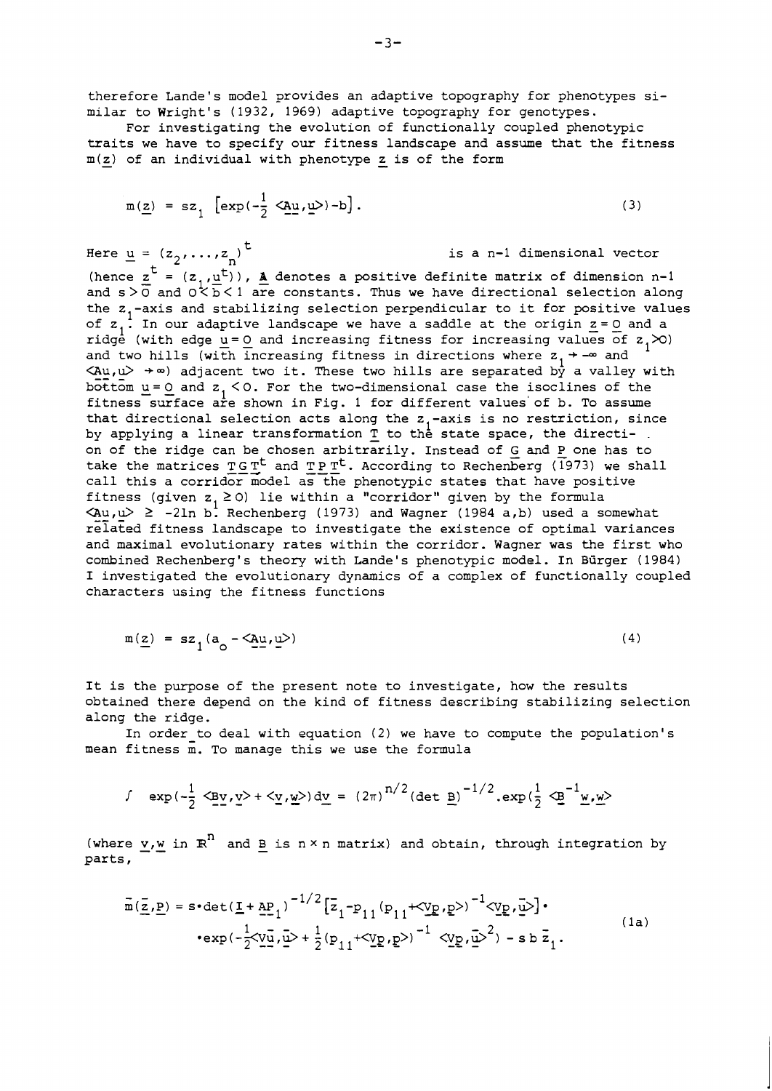therefore Lande's model provides an adaptive topography for phenotypes similar to Wright's (1932, 1969) adaptive topography for genotypes.

For investigating the evolution of functionally coupled phenotypic traits we have to specify our fitness landscape and assume that the fitness<br>m(<u>z</u>) of an individual with phenotype <u>z</u> is of the form

$$
m(\underline{z}) = sz_1 \left[ exp(-\frac{1}{2} \langle \underline{A} \underline{u}, \underline{u} \rangle) - b \right].
$$
 (3)

Here <u>u</u> =  $(z_2, \ldots, z_n)^t$ is a n-1 dimensional vector (hence  $z^t = (z_1, u^t)$ ), A denotes a positive definite matrix of dimension n-1 and  $s > 0$  and  $0 < b < 1$  are constants. Thus we have directional selection along the  $z_1$ -axis and stabilizing selection perpendicular to it for positive values<br>of  $z_1$ . In our adaptive landscape we have a saddle at the origin  $z=0$  and a ridge (with edge  $u=0$  and increasing fitness for increasing values of  $z_1 \gg 0$ ) and two hills (with increasing fitness in directions where  $z_1 \rightarrow -\infty$  and  $\langle Au, u \rangle \rightarrow \infty$  adjacent two it. These two hills are separated by a valley with bottom  $u=0$  and  $z_1 < 0$ . For the two-dimensional case the isoclines of the fitness surface are shown in Fig. 1 for different values of b. To assume that directional selection acts along the  $z_1$ -axis is no restriction, since by applying a linear transformation T to the state space, the direction of the ridge can be chosen arbitrarily. Instead of G and P one has to take the matrices  $T G T^t$  and  $T P T^t$ . According to Rechenberg (1973) we shall call this a corridor model as the phenotypic states that have positive fitness (given  $z_1 \ge 0$ ) lie within a "corridor" given by the formula<br>  $\langle Au, u \rangle \ge -2$ ln b. Rechenberg (1973) and Wagner (1984 a,b) used a somewhat related fitness landscape to investigate the existence of optimal variances and maximal evolutionary rates within the corridor. Wagner was the first who combined Rechenberg's theory with Lande's phenotypic model. In Bürger (1984) I investigated the evolutionary dynamics of a complex of functionally coupled characters using the fitness functions

$$
m(\underline{z}) = sz_1(a_0 - \langle \underline{Au}, \underline{u} \rangle) \tag{4}
$$

It is the purpose of the present note to investigate, how the results obtained there depend on the kind of fitness describing stabilizing selection along the ridge.

In order to deal with equation (2) we have to compute the population's mean fitness **m.** To manage this we use the formula

$$
\int \exp\left(-\frac{1}{2} \langle \underline{B} \underline{v}, \underline{v} \rangle + \langle \underline{v}, \underline{w} \rangle\right) d\underline{v} = (2\pi)^{n/2} (\det \underline{B})^{-1/2} . \exp\left(\frac{1}{2} \langle \underline{B}^{-1} \underline{w}, \underline{w} \rangle\right)
$$

(where  $\underline{v},\underline{w}$  in  $\mathbb{R}^n$  and  $\underline{B}$  is  $n\times n$  matrix) and obtain, through integration by parts,

$$
\overline{\mathbf{m}}(\underline{\mathbf{z}}, \underline{\mathbf{p}}) = \mathbf{s} \cdot \det(\underline{\mathbf{I}} + \underline{\mathbf{A}} \underline{\mathbf{p}}_1)^{-1/2} [\overline{\mathbf{z}}_1 - \mathbf{p}_{11} (\mathbf{p}_{11} + \langle \underline{\mathbf{v}} \underline{\mathbf{p}}, \underline{\mathbf{p}} \rangle)^{-1} \langle \underline{\mathbf{v}} \underline{\mathbf{p}}, \underline{\mathbf{u}} \rangle].
$$
\n
$$
\cdot \exp(-\frac{1}{2} \langle \underline{\mathbf{v}} \underline{\mathbf{u}}, \underline{\mathbf{u}} \rangle + \frac{1}{2} (\mathbf{p}_{11} + \langle \underline{\mathbf{v}} \underline{\mathbf{p}}, \underline{\mathbf{p}} \rangle)^{-1} \langle \underline{\mathbf{v}} \underline{\mathbf{p}}, \underline{\mathbf{u}} \rangle^2) - \mathbf{s} \mathbf{b} \, \overline{\mathbf{z}}_1.
$$
\n(1a)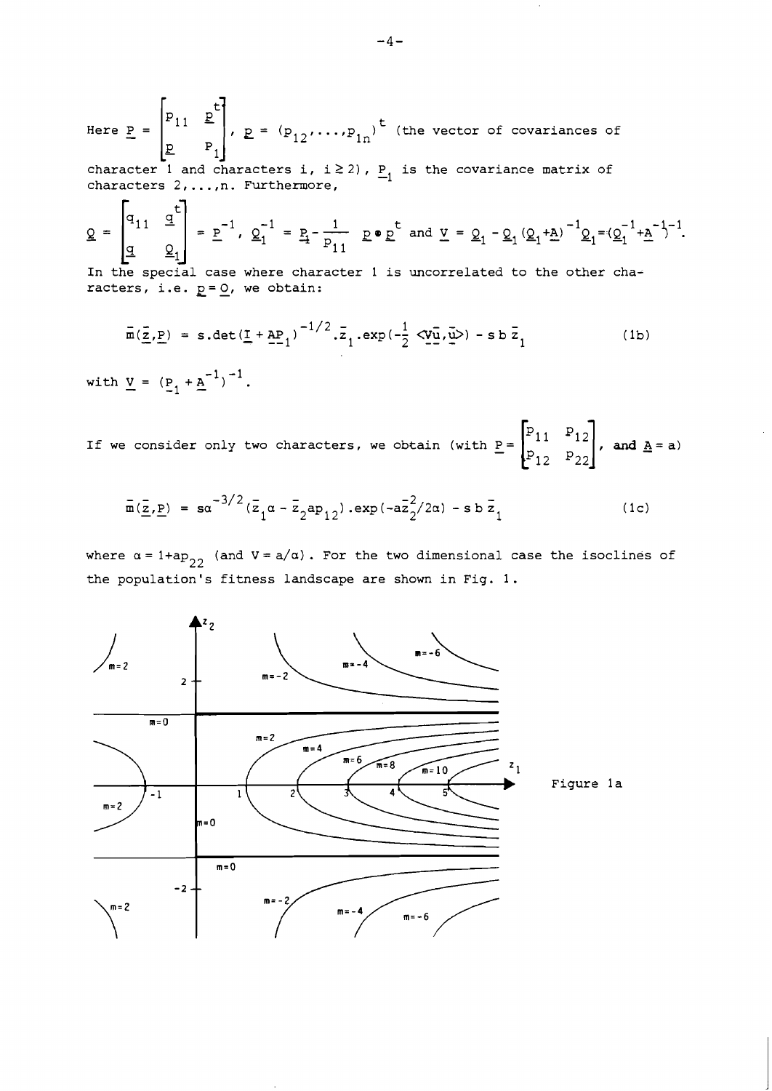Here 
$$
\underline{P} = \begin{bmatrix} P_{11} & \underline{P}^t \\ \underline{P} & P_1 \end{bmatrix}
$$
,  $\underline{P} = (p_{12}, \dots, p_{1n})^t$  (the vector of covariances of

character 1 and characters i,  $i \ge 2$ ),  $P_1$  is the covariance matrix of characters 2, ..., n. Furthermore,

 $\blacksquare$ 

$$
\underline{\mathbf{Q}} = \begin{bmatrix} \mathbf{q}_{11} & \underline{\mathbf{q}}^t \\ \underline{\mathbf{q}} & \underline{\mathbf{Q}}_1 \end{bmatrix} = \underline{\mathbf{P}}^{-1}, \ \underline{\mathbf{Q}}_1^{-1} = \underline{\mathbf{P}}_1 - \frac{1}{\mathbf{P}_{11}} \quad \underline{\mathbf{P}} \cdot \underline{\mathbf{P}}_1^t \quad \text{and} \quad \underline{\mathbf{V}} = \underline{\mathbf{Q}}_1 - \underline{\mathbf{Q}}_1 (\underline{\mathbf{Q}}_1 + \underline{\mathbf{A}})^{-1} \underline{\mathbf{Q}}_1 = (\underline{\mathbf{Q}}_1^{-1} + \underline{\mathbf{A}}^{-1})^{-1}.
$$

In the special case where character 1 is uncorrelated to the other characters, i.e.  $p = 0$ , we obtain:

$$
\overline{\mathfrak{m}}(\underline{\mathfrak{z}},\underline{\mathfrak{p}}) = s.\det(\underline{\mathfrak{r}} + \underline{\mathfrak{p}}_1)^{-1/2}.\overline{z}_1.\exp(-\frac{1}{2} \langle \underline{\mathfrak{v}} \underline{\mathfrak{v}}, \underline{\mathfrak{w}}) - s \, b \, \overline{z}_1
$$
\n(1b)

\nwith 
$$
\underline{\mathfrak{v}} = (\underline{\mathfrak{p}}_1 + \underline{\mathfrak{p}}^{-1})^{-1}.
$$

If we consider only two characters, we obtain (with  $P = \begin{bmatrix} p_{11} & p_{12} \\ p_{12} & p_{22} \end{bmatrix}$ , and  $\underline{A} = \underline{a}$ )

$$
\bar{m}(\bar{z}, \underline{P}) = s\alpha^{-3/2}(\bar{z}_1\alpha - \bar{z}_2ap_{12}) . \exp(-az_2^2/2\alpha) - s b \bar{z}_1
$$
 (1c)

where  $\alpha = 1 + a p_{22}$  (and  $V = a/a$ ). For the two dimensional case the isoclines of the population's fitness landscape are shown in Fig. 1.

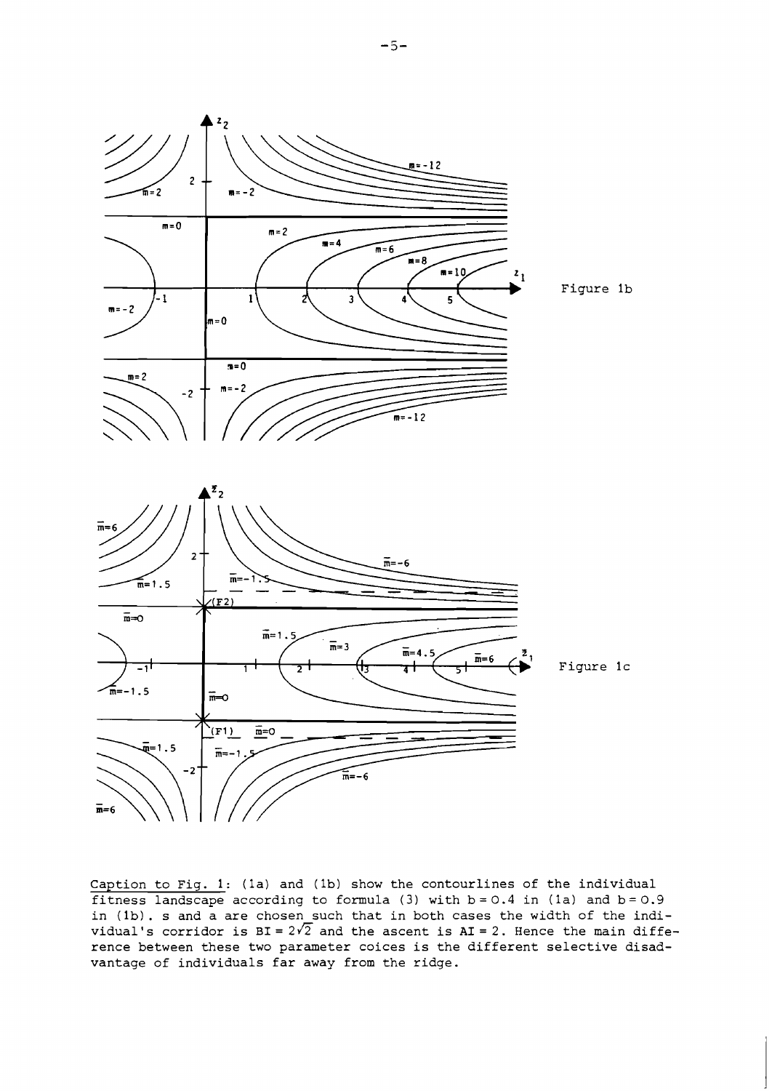

Caption to Fig. 1: (la) and (lb) show the contourlines of the individual fitness landscape according to formula (3) with  $b = 0.4$  in (1a) and  $b = 0.9$ in (lb). s and a are chosen such that in both cases the width of the individual's corridor is  $BI = 2\sqrt{2}$  and the ascent is  $AI = 2$ . Hence the main difference between these two parameter coices is the different selective disadvantage of individuals far away from the ridge.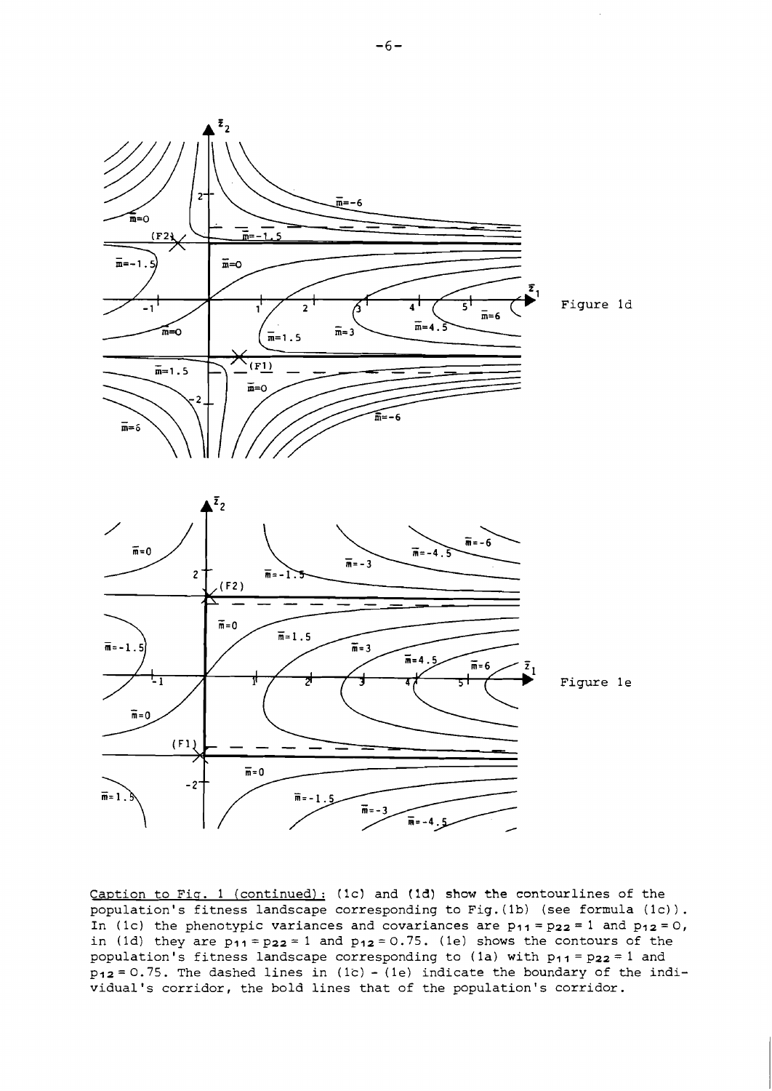

Caption to Fiq. 1 (continued): (lc) and **(Id)** show the contourlines of the population's fitness landscape corresponding to Fig.(1b) (see formula (1c)). In (1c) the phenotypic variances and covariances are p<sub>11</sub> = p<sub>22</sub> = 1 and p<sub>12</sub> = 0, in (1d) they are  $p_{11} = p_{22} = 1$  and  $p_{12} = 0.75$ . (1e) shows the contours of the population's fitness landscape corresponding to (1a) with  $p_{11} = p_{22} = 1$  and  $p_{12}=0.75$ . The dashed lines in (1c) - (1e) indicate the boundary of the individual's corridor, the bold lines that of the population's corridor.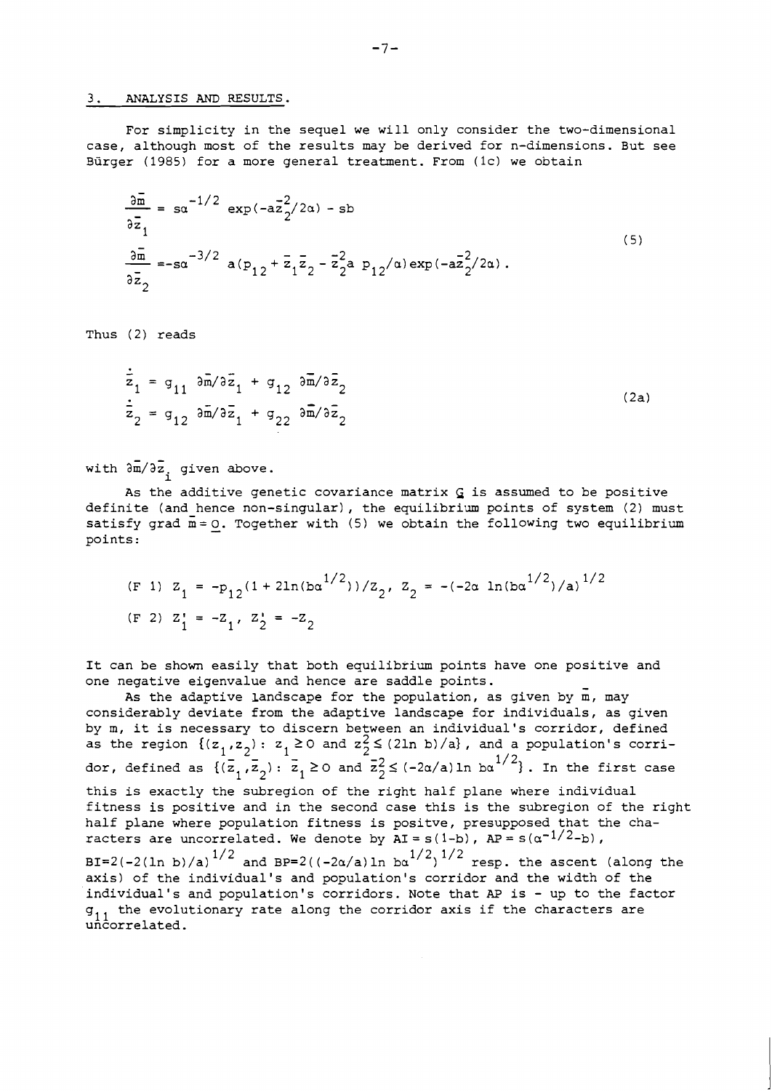#### *3.* ANALYSIS AND RESULTS.

For simplicity in the sequel we will only consider the two-dimensional case, although most of the results may be derived for n-dimensions. But see Biirger (1985) for a more general treatment. From (lc) we obtain

$$
\frac{\partial \overline{\mathbf{n}}}{\partial \overline{z}_1} = s\alpha^{-1/2} \exp(-a\overline{z}_2^2/2\alpha) - s\alpha
$$
\n
$$
\frac{\partial \overline{\mathbf{n}}}{\partial \overline{z}_2} = -s\alpha^{-3/2} \alpha (p_{12} + \overline{z}_1 \overline{z}_2 - \overline{z}_2^2 \alpha p_{12}/\alpha) \exp(-a\overline{z}_2^2/2\alpha). \tag{5}
$$

Thus (2) reads

$$
\dot{\vec{z}}_1 = g_{11} \partial \vec{m} / \partial \vec{z}_1 + g_{12} \partial \vec{m} / \partial \vec{z}_2
$$
\n
$$
\dot{\vec{z}}_2 = g_{12} \partial \vec{m} / \partial \vec{z}_1 + g_{22} \partial \vec{m} / \partial \vec{z}_2
$$
\n(2a)

with  $\frac{\partial m}{\partial z_i}$  given above.

As the additive genetic covariance matrix  $G$  is assumed to be positive definite (and hence non-singular), the equilibrium points of system (2) must satisfy grad  $\overline{m} = 0$ . Together with (5) we obtain the following two equilibrium points :

(F 1) 
$$
Z_1 = -p_{12}(1 + 2\ln(\frac{1}{2})) / Z_2
$$
,  $Z_2 = -(-2\alpha \ln(\frac{1}{2}) / \alpha)^{1/2}$   
(F 2)  $Z_1' = -Z_1$ ,  $Z_2' = -Z_2$ 

It can be shown easily that both equilibrium points have one positive and one negative eigenvalue and hence are saddle points.

As the adaptive landscape for the population, as given by **m,** may considerably deviate from the adaptive landscape for individuals, as given by m, it is necessary to discern between an individual's corridor, defined<br>as the region  $\{(z_1, z_2): z_1 \ge 0 \text{ and } z_2^2 \le (2\ln b)/a\}$ , and a population's corri-<br> $\frac{1}{2}$ dor, defined as  $\{(\overline{z}_1,\overline{z}_2): \overline{z}_1 \ge 0 \text{ and } \overline{z}_2^2 \le (-2\alpha/a) \ln b\alpha^{1/2}\}$ . In the first case this is exactly the subregion of the right half plane where individual fitness is positive and in the second case this is the subregion of the right half plane where population fitness is positve, presupposed that the characters are uncorrelated. We denote by  $AI = s(1-b)$ ,  $AP = s(\alpha^{-1/2}-b)$ , BI=2(-2(ln b)/a)<sup>1/2</sup> and BP=2((-2a/a) ln ba<sup>1/2</sup>)<sup>1/2</sup> resp. the ascent (along the axis) of the individual's and population's corridor and the width of the individual's and population's corridors. Note that AP is - up to the factor  $g_{11}$  the evolutionary rate along the corridor axis if the characters are uncorrelated.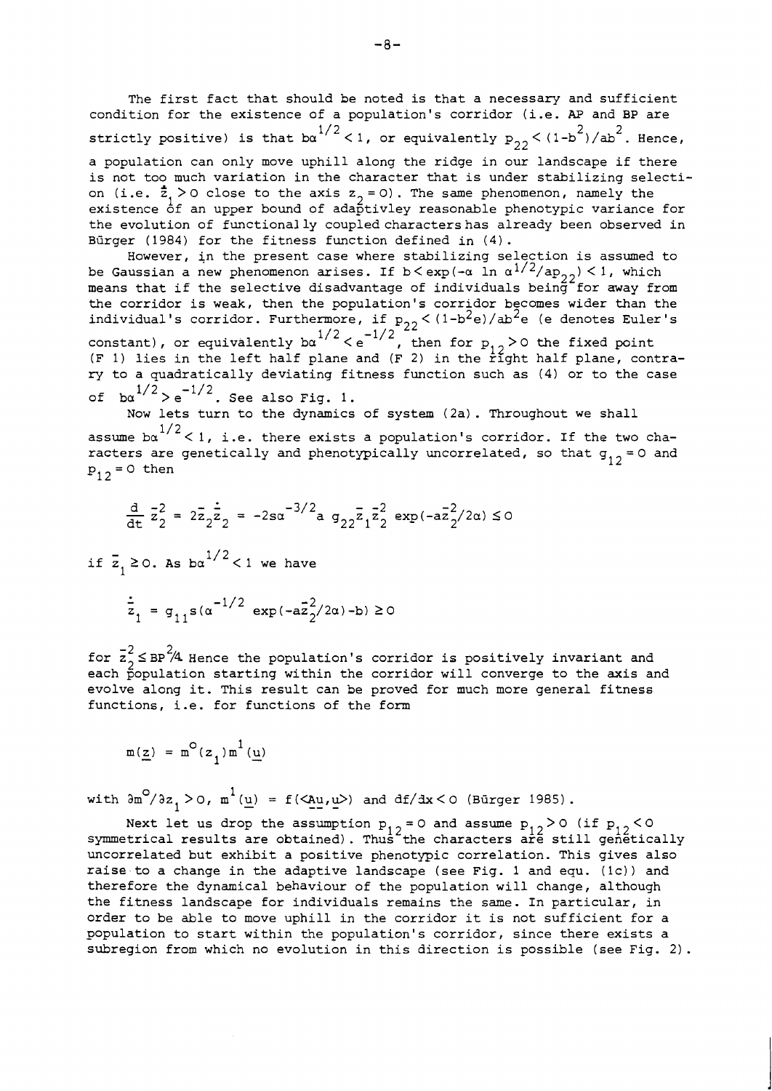The first fact that should be noted is that a necessary and sufficient condition for the existence of a population's corridor (i.e. **AP** and BP are strictly positive) is that ba $n^{1/2}$  < 1, or equivalently  $p_{22}$  <  $(1-b^2)/ab^2$ . Hence, a population can only move uphill along the ridge in our landscape if there is not too much variation in the character that is under stabilizing selecti-<br>on (i.e.  $\frac{1}{2}$ , > 0 close to the axis z<sub>2</sub> = 0). The same phenomenon, namely the existence  $\dot{\text{d}}$ f an upper bound of adaptivley reasonable phenotypic variance for the evolution of functionally coupled charactershas already been observed in Bürger (1984) for the fitness function defined in (4).

However, in the present case where stabilizing selection is assumed to be Gaussian a new phenomenon arises. If  $b < exp(-\alpha \ln \alpha^{1/2}/ap_{22}) < 1$ , which means that if the selective disadvantage of individuals being for away from the corridor is weak, then the population's corridor becomes wider than the individual's corridor. Furthermore, if  $p_{22} < (1-b^2e)/ab^2e$  (e denotes Euler's constant), or equivalently ba<sup>1/2</sup>  $\left(e^{-1/2}\right)^{1/2}$ , then for  $p_{1/2}$  > 0 the fixed point (F 1) lies in the left half plane and (F 2) in the  $\dot{\tilde{\tau}}$ ight half plane, contrary to a quadratically deviating fitness function such as (4) or to the case of  $b\alpha^{1/2} > e^{-1/2}$ . See also Fig. 1.

Now lets turn to the dynamics of system (2a). Throughout we shall assume ba $^{1/2}$  < 1, i.e. there exists a population's corridor. If the two characters are genetically and phenotypically uncorrelated, so that  $g_{12} = 0$  and  $p_{12} = 0$  then

$$
\frac{d}{dt} \bar{z}_2^2 = 2\bar{z}_2 \bar{z}_2 = -2s\alpha^{-3/2} a g_{22} \bar{z}_1 \bar{z}_2^2 \exp(-az_2^2/2\alpha) \le 0
$$

if  $\overline{z}_1 \ge 0$ . As  $b\alpha^{1/2} < 1$  we have

$$
\dot{\bar{z}}_1 = g_{11} s (\alpha^{-1/2} \exp{(-a \bar{z}_2^2/2\alpha) - b}) \ge 0
$$

for  $z_2^2 \le BP^2/4$  Hence the population's corridor is positively invariant and each population starting within the corridor will converge to the axis and evolve along it. This result can be proved for much more general fitness functions, i.e. for functions of the form

$$
m(\underline{z}) = m^{O}(z_1) m^{1}(\underline{u})
$$

with  $\partial m^0/\partial z_1 > 0$ ,  $m^1(\underline{u}) = f(\langle \underline{Au}, \underline{u} \rangle)$  and  $df/dx < 0$  (Bürger 1985).

Next let us drop the assumption  $p_{12} = 0$  and assume  $p_{12} > 0$  (if  $p_{12} < 0$  symmetrical results are obtained). Thus the characters are still genetically uncorrelated but exhibit a positive phenotypic correlation. This gives also raise to a change in the adaptive landscape (see Fig. 1 and equ. (lc)) and therefore the dynamical behaviour of the population will change, although the fitness landscape for individuals remains the same. In particular, in order to be able to move uphill in the corridor it is not sufficient for a population to start within the population's corridor, since there exists a subregion from which no evolution in this direction is possible (see Fig. 2).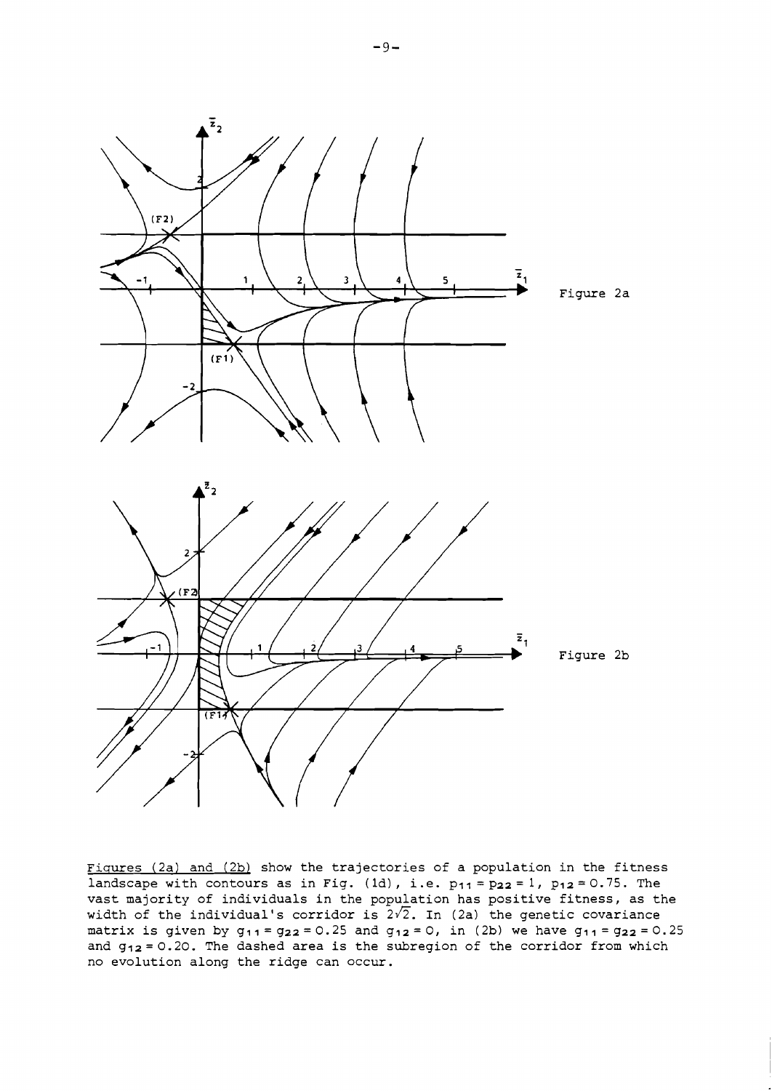

Figures (2a) and (2b) show the trajectories of a population in the fitness landscape with contours as in Fig. (1d), i.e.  $p_{11} = p_{22} = 1$ ,  $p_{12} = 0.75$ . The vast majority of individuals in the population has positive fitness, as the width of the individual's corridor is  $2\sqrt{2}$ . In (2a) the genetic covariance matrix is given by  $g_{11} = g_{22} = 0.25$  and  $g_{12} = 0$ , in (2b) we have  $g_{11} = g_{22} = 0.25$ and  $g_{12}=0.20$ . The dashed area is the subregion of the corridor from which no evolution along the ridge can occur.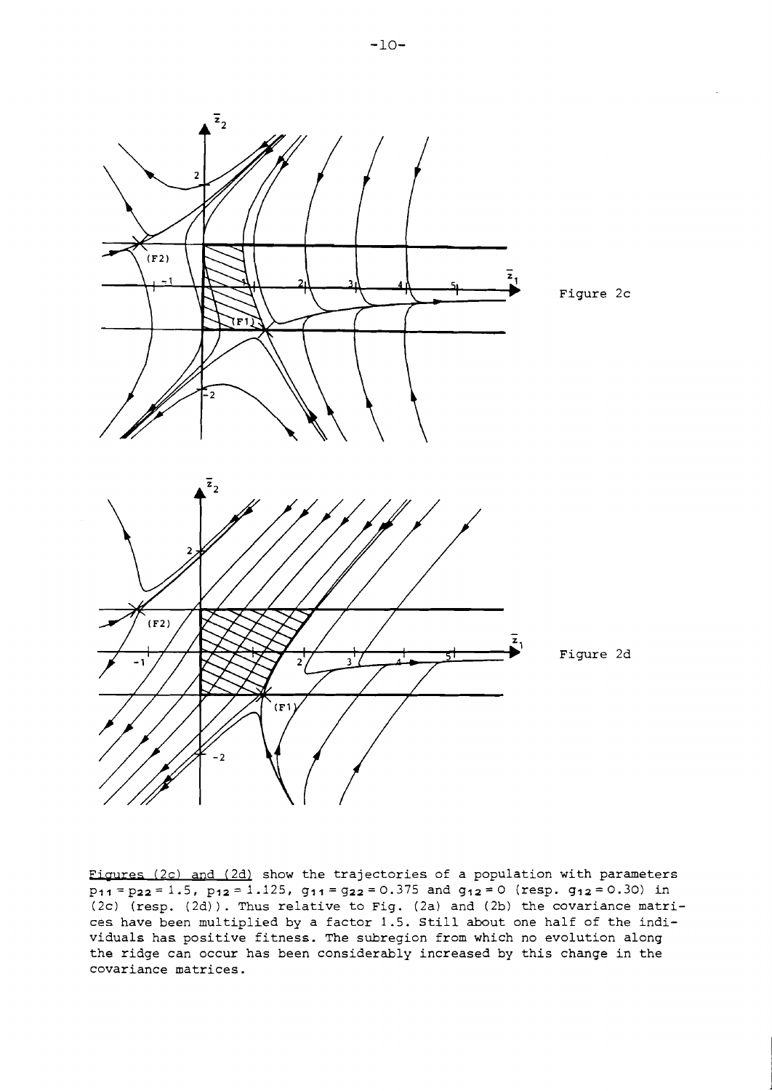

Figures (2c) and (2d) show the trajectories of a population with parameters  $p_{11} = p_{22} = 1.5$ ,  $p_{12} = 1.125$ ,  $q_{11} = q_{22} = 0.375$  and  $q_{12} = 0$  (resp.  $q_{12} = 0.30$ ) in (2c) (resp. (2d)). Thus relative to Fig. (2a) and (2b) the covariance matrices have been multiplied by a factor 1.5. Still about one half of the individuals has positive fitness. The subregion from which no evolution along the ridge can occur has been considerably increased by this change in the covariance matrices.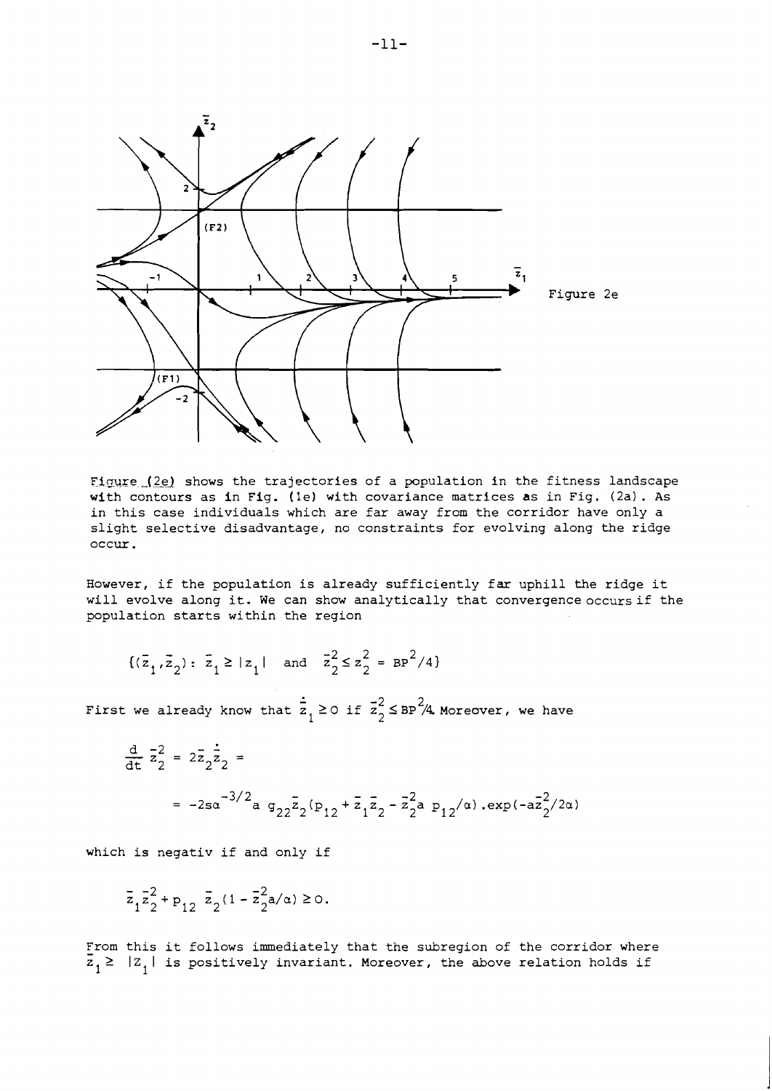

Figure (2e) shows the trajectories of a population in the fitness landscape with contours as in Fig. (le) with covariance matrices as in Fig. (2a). As in this case individuals which are far away from the corridor have only a slight selective disadvantage, no constraints for evolving along the ridge OCCUT.

However, if the population is already sufficiently far uphill the ridge it will evolve along it. We can show analytically that convergence occurs if the population starts within the region

$$
\{(\bar{z}_1, \bar{z}_2): \bar{z}_1 \ge |z_1| \text{ and } \bar{z}_2^2 \le z_2^2 = BP^2/4\}
$$

First we already know that  $\frac{1}{z_1} \ge 0$  if  $\frac{1}{z_2^2} \le BP^2/4$  Moreover, we have

$$
\frac{d}{dt} \bar{z}_2^2 = 2\bar{z}_2 \dot{\bar{z}}_2 =
$$
  
= -2s $\alpha^{-3/2}$ a  $g_{22} \bar{z}_2 (p_{12} + \bar{z}_1 \bar{z}_2 - \bar{z}_2^2 a p_{12}/a) .exp(-a\bar{z}_2^2/2a)$ 

which is negativ if and only if

$$
\bar{z}_1 \bar{z}_2^2 + p_{12} \bar{z}_2 (1 - \bar{z}_2^2 a/\alpha) \ge 0.
$$

From this it follows immediately that the subregion of the corridor where  $\overline{z}_1 \geq |z_1|$  is positively invariant. Moreover, the above relation holds if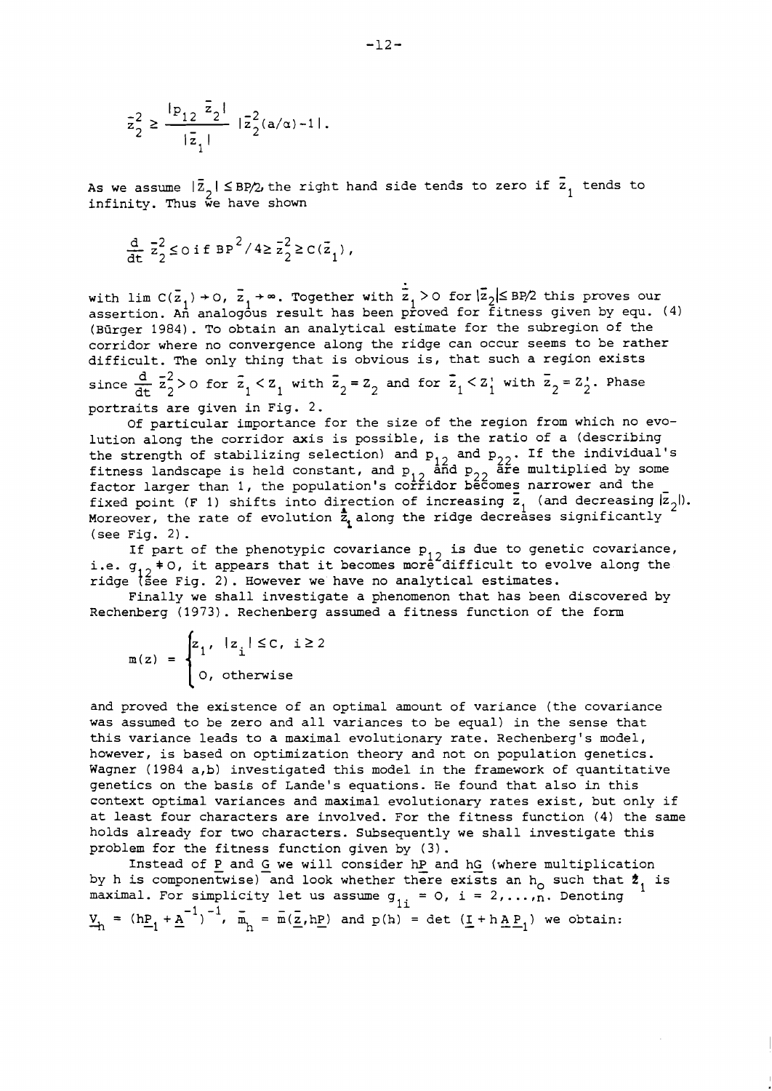$$
\bar{z}_2^2 \ge \frac{|p_{12} \bar{z}_2|}{|\bar{z}_1|} |\bar{z}_2^2(a/\alpha) - 1|.
$$

As we assume  $|\bar{Z}_2| \leq BP/2$ , the right hand side tends to zero if  $\bar{z}_1$  tends to infinity. Thus we have shown

$$
\frac{\mathrm{d}}{\mathrm{d} t} \; z_2^2 \leq \mathrm{o} \; \mathrm{if} \; \mathbb{B} \mathbb{P}^2 / 4 \geq z_2^2 \geq \mathrm{c}(\bar{z}_1) \; ,
$$

with lim  $C(\bar{z}_1) \rightarrow 0$ ,  $\bar{z}_1 \rightarrow \infty$ . Together with  $\bar{z}_1 > 0$  for  $|\bar{z}_2| \leq BP/2$  this proves our assertion. An analogous result has been proved for fitness given by equ. (4) (Biirger 1984). To obtain an analytical estimate for the subregion of the corridor where no convergence along the ridge can occur seems to be rather difficult. The only thing that is obvious is, that such a region exists ilt. The only thing that is obvious is, that such a re<br> $\frac{d}{dx}$   $\frac{1}{2}$  > o for  $\frac{1}{2}$   $\leq$   $\frac{2}{3}$  with  $\frac{1}{2}$  =  $\frac{2}{3}$  and for  $\frac{1}{2}$   $\leq$  Z' with  $\frac{1}{2}$ corridor where no convergence along the ridge can occur seems to be rath<br>difficult. The only thing that is obvious is, that such a region exists<br>since  $\frac{d}{dt} z_2^2 > 0$  for  $\overline{z}_1 < z_1$  with  $\overline{z}_2 = z_2$  and for  $\overline{z}_$ portraits are given in Fig. 2.

Of particular importance for the size of the region from which no evolution along the corridor axis is possible, is the ratio of a (describing the strength of stabilizing selection) and  $p_{12}^{}$  and  $p_{22}^{}$ . If the individual's fitness landscape is held constant, and  $p_{12}^{}$  and  $p_{22}^{}$  are multiplied by some factor larger than 1, the population's corridor becomes narrower and the fixed point (F 1) shifts into direction of increasing  $\overline{z}_1$  (and decreasing  $\overline{z}_2$ ). Moreover, the rate of evolution  $\bar{z}_i$  along the ridge decreases significantly

(see Fig. 2).<br>If part of the phenotypic covariance  $p_{12}$  is due to genetic covariance,<br>i.e.  $g_{12}$  \*O, it appears that it becomes more difficult to evolve along the ridge  $\frac{1}{2}$ ee Fig. 2). However we have no analytical estimates.

Finally we shall investigate a phenomenon that has been discovered by Rechenberg (1973). Rechenberg assumed a fitness function of the form

$$
\mathbf{m}(\mathbf{z}) = \begin{cases} z_1, & |z_1| \leq c, \quad i \geq 2 \\ 0, & \text{otherwise} \end{cases}
$$

and proved the existence of an optimal amount of variance (the covariance was assumed to be zero and all variances to be equal) in the sense that this variance leads to a maximal evolutionary rate. Rechenberg's model, however, is based on optimization theory and not on population genetics. Wagner (1984 a,b) investigated this model in the framework of quantitative genetics on the basis of Lande's equations. He found that also in this context optimal variances and maximal evolutionary rates exist, but only if at least four characters are involved. For the fitness function (4) the same holds already for two characters. Subsequently we shall investigate this problem for the fitness function given by (3).

Instead of  $\underline{P}$  and  $\underline{G}$  we will consider  $h\underline{P}$  and  $h\underline{G}$  (where multiplication by h is componentwise) and look whether there exists an  $h_0$  such that  $\bar{z}_1$  is by in is componentwise) and look whether there exists an  $n_0$  such that<br>maximal. For simplicity let us assume  $g_{1i} = 0$ ,  $i = 2,...,n$ . Denoting<br> $-1 - 1 =$ maximal. For simplicity let us assume  $g_{1i} = 0$ ,  $i = 2,...,n$ . Denoting<br> $\frac{v}{-h} = (h p + \underline{A}^{-1})^{-1}$ ,  $\overline{m}_h = \overline{m}(\underline{z}, h \underline{P})$  and  $p(h) = det (\underline{I} + h \underline{A} \underline{P}_1)$  we obtain: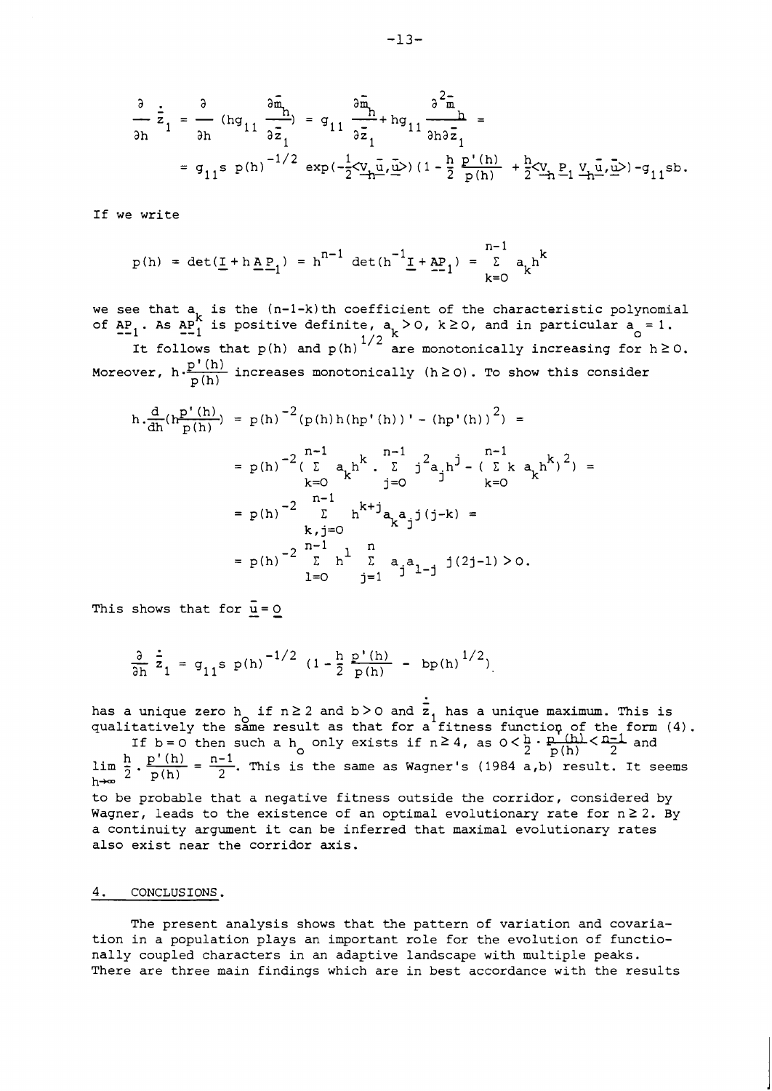$$
\frac{\partial}{\partial h} \frac{1}{z_1} = \frac{\partial}{\partial h} (hg_{11} \frac{\partial \bar{m}_h}{\partial \bar{z}_1}) = g_{11} \frac{\partial \bar{m}_h}{\partial \bar{z}_1} + hg_{11} \frac{\partial^2 \bar{m}_h}{\partial h \partial \bar{z}_1} =
$$
  
=  $g_{11} s \ p(h)^{-1/2} \exp(-\frac{1}{2} \langle \underline{v}_h \underline{\bar{u}}, \underline{\bar{u}} \rangle) (1 - \frac{h}{2} \frac{p'(h)}{p(h)} + \frac{h}{2} \langle \underline{v}_h \underline{p}_1 \underline{v}_h \underline{\bar{u}}, \underline{\bar{u}} \rangle) - g_{11} sb.$ 

If we write

$$
p(h) = det(\underline{I} + h \underline{A} \underline{P}_1) = h^{n-1} det(h^{-1} \underline{I} + \underline{A} \underline{P}_1) = \sum_{k=0}^{n-1} a_k h^{k}
$$

we see that  $a_{\rm L}$  is the (n-1-k)th coefficient of the characteristic polynomial of  $AP_1$ . As  $AP_1^K$  is positive definite, a > 0, k ≥ 0, and in particular a = 1.<br>--1  $\frac{1}{2}$  k

It follows that  $p(h)$  and  $p(h)$   $^{1/2}$  are monotonically increasing for  $h \ge 0$ . we see that  $a_k$  is the  $(n-1-k)$  th coefficient of the characteristic polynom<br>
of AP<sub>1</sub>. As AP<sub>1</sub> is positive definite,  $a_k > 0$ ,  $k \ge 0$ , and in particular  $a_0 =$ <br>
It follows that p(h) and p(h)<sup>1/2</sup> are monotonically incre Moreover,  $h \cdot \frac{p'(h)}{p(h)}$  increases monotonically ( $h \ge 0$ ). To show this consider

$$
h \cdot \frac{d}{dh} (h \frac{p'(h)}{p(h)}) = p(h)^{-2} (p(h) h(hp'(h))' - (hp'(h))^{2}) =
$$
  
\n
$$
= p(h)^{-2} (\sum_{k=0}^{n-1} a_{k} h^{k} \cdot \sum_{j=0}^{n-1} j^{2} a_{j} h^{j} - (\sum_{k=0}^{n-1} k a_{k} h^{k})^{2}) =
$$
  
\n
$$
= p(h)^{-2} \sum_{k,j=0}^{n-1} h^{k+j} a_{k} a_{j} j(j-k) =
$$
  
\n
$$
= p(h)^{-2} \sum_{l=0}^{n-1} h^{l} \sum_{j=1}^{n} a_{j} a_{l-j} j(2j-l) > 0.
$$

This shows that for  $u = 0$ 

$$
\frac{\partial}{\partial h} \frac{1}{z_1} = g_{11} s p(h)^{-1/2} (1 - \frac{h}{2} \frac{p'(h)}{p(h)} - bp(h)^{1/2}).
$$

has a unique zero h<sub>0</sub> if n 2 2 and b > 0 and  $\frac{1}{z_1}$  has a unique maximum. This is qualitatively the same result as that for a fitness function of the form (4).

tatively the same result as that for a fitness function of the form<br>If b = 0 then such a h<sub>o</sub> only exists if n ≥ 4, as  $0 < \frac{h}{2} \cdot \frac{h}{h(h)} < \frac{h-1}{2}$  and If  $p = 0$  then such a h<sub>o</sub> only exists if  $n \le 4$ , as  $0 \le \frac{2}{2} \cdot \frac{p(h)}{p(h)} \cdot \frac{2}{2}$ <br>h  $p'(h) = n-1$  mbig is the same as Essengus (1984 a h) result.  $\frac{\partial}{\partial h} \frac{1}{z_1} = g_{11} s p(h)^{-1/2} (1 - \frac{h}{2} \frac{p'(h)}{p(h)} - bp(h)^{1/2})$ .<br>
has a unique zero h if  $n \ge 2$  and b > 0 and  $\frac{1}{z_1}$  has a unique maximum. This is qualitatively the same result as that for a fitness function of th  $\lim_{h\to\infty}\frac{h}{2}\cdot\frac{p'(h)}{p(h)}=\frac{n-1}{2}$ . This is the same as Wagner's (1984 a,b) result. It seems to be probable that a negative fitness outside the corridor, considered by Wagner, leads to the existence of an optimal evolutionary rate for  $n \geq 2$ . By a continuity argument it can be inferred that maximal evolutionary rates also exist near the corridor axis.

## 4. CONCLUSIONS.

The present analysis shows that the pattern of variation and covariation in a population plays an important role for the evolution of functionally coupled characters in an adaptive landscape with multiple peaks. There are three main findings which are in best accordance with the results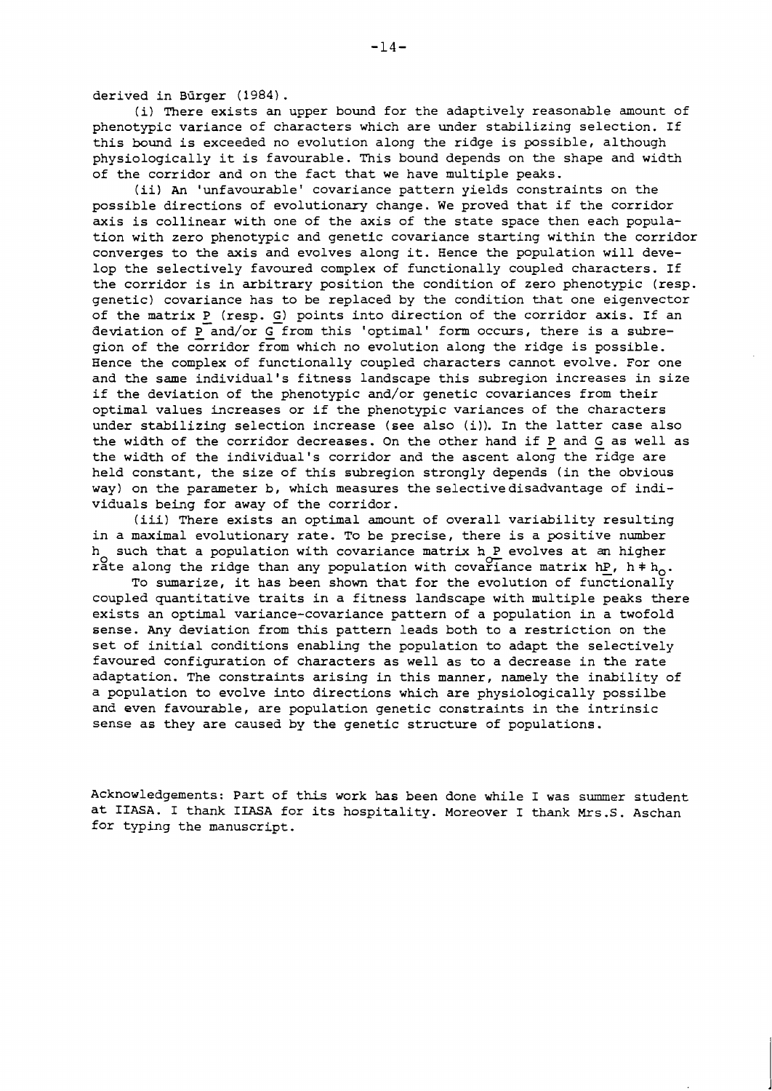derived in Bürger (1984).<br>(i) There exists an upper bound for the adaptively reasonable amount of phenotypic variance of characters which are under stabilizing selection. If this bound is exceeded no evolution along the ridge is possible, although physiologically it is favourable. This bound depends on the shape and width of the corridor and on the fact that we have multiple peaks.

(ii) An 'unfavourable' covariance pattern yields constraints on the possible directions of evolutionary change. We proved that if the corridor axis is collinear with one of the axis of the state space then each population with zero phenotypic and genetic covariance starting within the corridor converges to the axis and evolves along it. Hence the population will develop the selectively favoured complex of functionally coupled characters. If the corridor is in arbitrary position the condition of zero phenotypic (resp. genetic) covariance has to be replaced by the condition that one eigenvector of the matrix P (resp. G) points into direction of the corridor axis. If an deviation of P and/or G from this 'optimal' form occurs, there is a subregion of the corridor from which no evolution along the ridge is possible. Hence the complex of functionally coupled characters cannot evolve. For one and the same individual's fitness landscape this subregion increases in size if the deviation of the phenotypic and/or genetic covariances from their optimal values increases or if the phenotypic variances of the characters under stabilizing selection increase (see also (i)). In the latter case also the width of the corridor decreases. On the other hand if P and G as well as the width of the individual's corridor and the ascent along the ridge are held constant, the size of this subregion strongly depends (in the obvious way) on the parameter b, which measures the selectivedisadvantage of individuals being for away of the corridor.

(iii) There exists an optimal amount of overall variability resulting in a maximal evolutionary rate. To be precise, there is a positive number<br>h such that a population with covariance matrix h P evolves at an higher rate along the ridge than any population with covariance matrix hP, h  $\pm$  h<sub>o</sub>.

To sumarize, it has been shown that for the evolution of functionally coupled quantitative traits in a fitness landscape with multiple peaks there exists an optimal variance-covariance pattern of a population in a twofold sense. Any deviation from this pattern leads both to a restriction on the set of initial conditions enabling the population to adapt the selectively favoured configuration of characters as well as to a decrease in the rate adaptation. The constraints arising in this manner, namely the inability of a population to evolve into directions which are physiologically possilbe and even favourable, are population genetic constraints in the intrinsic sense as they are caused by the genetic structure of populations.

Acknowledgements: Part of this work has been done while I was summer student at IIASA. I thank IIASA for its hospitality. Moreover I thank Mrs.S. Aschan for typing the manuscript.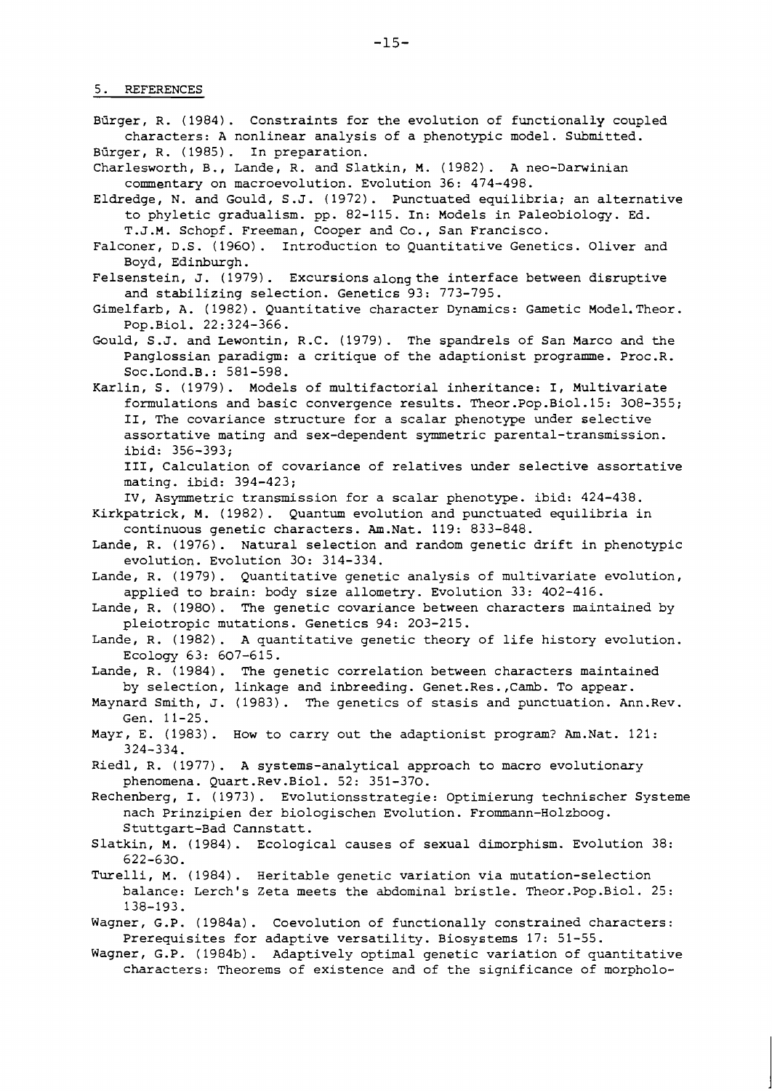### 5. REFERENCES

- Biirger, R. (1984). Constraints for the evolution of functionally coupled characters: A nonlinear analysis of a phenotypic model. Submitted. Biirger, R. (1985). In preparation.
- Charlesworth, B., Lande, R. and Slatkin, M. (1982). A neo-Darwinian commentary on macroevolution. Evolution 36: 474-498.

Eldredge, N. and Gould, S.J. (1972). Punctuated equilibria; an alternative to phyletic gradualism. pp. 82-115. In: Models in Paleobiology. Ed. T.J.M. Schopf. Freeman, Cooper and Co., San Francisco.

Falconer, D.S. (1960). Introduction to Quantitative Genetics. Oliver and Boyd, Edinburgh.

- Felsenstein, J. (1979). Excursions along the interface between disruptive and stabilizing selection. Genetics 93: 773-795.
- Gimelfarb, A. (1982). Quantitative character Dynamics: Gametic Model.Theor. Pop.Bio1. 22:324-366.

Gould, S.J. and Lewontin, R.C. (1979). The spandrels of San Marco and the Panglossian paradigm: a critique of the adaptionist programme. Proc.R. S0c.Lond.B.: 581-598.

Karlin, S. (1979). Models of multifactorial inheritance: I, Multivariate formulations and basic convergence results. Theor.Pop.Biol.15: 308-355; 11, The covariance structure for a scalar phenotype under selective assortative mating and sex-dependent symmetric parental-transmission. ibid: 356-393;

111, Calculation of covariance of relatives under selective assortative mating. ibid: 394-423;

- IV, Asymmetric transmission for a scalar phenotype. ibid: 424-438.
- Kirkpatrick, M. (1982). Quantum evolution and punctuated equilibria in continuous genetic characters. Am.Nat. 119: 833-848.
- Lande, R. (1976). Natural selection and random genetic drift in phenotypic evolution. Evolution 30: 314-334.

Lande, R. (1979). Quantitative genetic analysis of multivariate evolution, applied to brain: body size allometry. Evolution 33: 402-416.

Lande, R. (1980). The genetic covariance between characters maintained by pleiotropic mutations. Genetics 94: 203-215.

Lande, R. (1982) . **A** quantitative genetic theory of life history evolution. Ecology 63: 607-615.

Lande, R. (1984). The genetic correlation between characters maintained by selection, linkage and inbreeding. Genet.Res.,Camb. To appear.

Maynard Smith, J. (1983). The genetics of stasis and punctuation. Ann.Rev. Gen. 11-25.

Mayr, E. (1983). How to carry out the adaptionist program? Am.Nat. 121: 324-334.

Riedl, R. (1977). A systems-analytical approach to macro evolutionary phenomena. Quart.Rev.Bio1. 52: 351-370.

Rechenberg, I. (1973). Evolutionsstrategie: Optimierung technischer Systeme nach Prinzipien der biologischen Evolution. Frommann-Holzboog. Stuttgart-Bad Cannstatt.

- Slatkin, M. (1984). Ecological causes of sexual dimorphism. Evolution 38: 622-630.
- Turelli, M. (1984). Heritable genetic variation via mutation-selection balance: Lerch's Zeta meets the abdominal bristle. Theor-Pop-Biol. 25: 138-193.
- Wagner, G.P. (1984a). Coevolution of functionally constrained characters: Prerequisites for adaptive versatility. Biosystems 17: 51-55.
- Wagner, G.P. (1984b). Adaptively optimal genetic variation of quantitative characters: Theorems of existence and of the significance of morpholo-